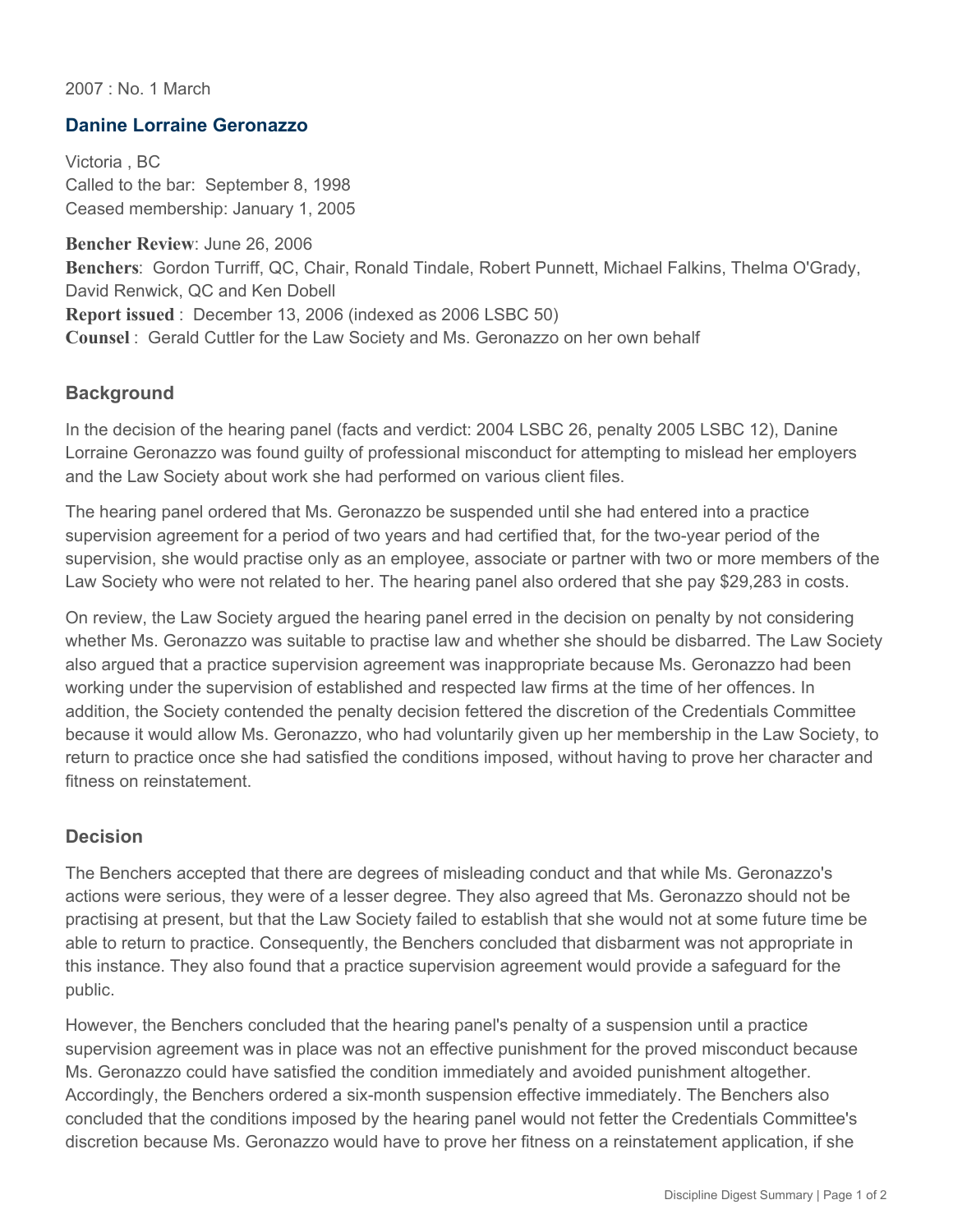2007 : No. 1 March

## **Danine Lorraine Geronazzo**

Victoria , BC Called to the bar: September 8, 1998 Ceased membership: January 1, 2005

**Bencher Review**: June 26, 2006 **Benchers**: Gordon Turriff, QC, Chair, Ronald Tindale, Robert Punnett, Michael Falkins, Thelma O'Grady, David Renwick, QC and Ken Dobell **Report issued** : December 13, 2006 (indexed as 2006 LSBC 50) **Counsel** : Gerald Cuttler for the Law Society and Ms. Geronazzo on her own behalf

## **Background**

In the decision of the hearing panel (facts and verdict: 2004 LSBC 26, penalty 2005 LSBC 12), Danine Lorraine Geronazzo was found guilty of professional misconduct for attempting to mislead her employers and the Law Society about work she had performed on various client files.

The hearing panel ordered that Ms. Geronazzo be suspended until she had entered into a practice supervision agreement for a period of two years and had certified that, for the two-year period of the supervision, she would practise only as an employee, associate or partner with two or more members of the Law Society who were not related to her. The hearing panel also ordered that she pay \$29,283 in costs.

On review, the Law Society argued the hearing panel erred in the decision on penalty by not considering whether Ms. Geronazzo was suitable to practise law and whether she should be disbarred. The Law Society also argued that a practice supervision agreement was inappropriate because Ms. Geronazzo had been working under the supervision of established and respected law firms at the time of her offences. In addition, the Society contended the penalty decision fettered the discretion of the Credentials Committee because it would allow Ms. Geronazzo, who had voluntarily given up her membership in the Law Society, to return to practice once she had satisfied the conditions imposed, without having to prove her character and fitness on reinstatement.

## **Decision**

The Benchers accepted that there are degrees of misleading conduct and that while Ms. Geronazzo's actions were serious, they were of a lesser degree. They also agreed that Ms. Geronazzo should not be practising at present, but that the Law Society failed to establish that she would not at some future time be able to return to practice. Consequently, the Benchers concluded that disbarment was not appropriate in this instance. They also found that a practice supervision agreement would provide a safeguard for the public.

However, the Benchers concluded that the hearing panel's penalty of a suspension until a practice supervision agreement was in place was not an effective punishment for the proved misconduct because Ms. Geronazzo could have satisfied the condition immediately and avoided punishment altogether. Accordingly, the Benchers ordered a six-month suspension effective immediately. The Benchers also concluded that the conditions imposed by the hearing panel would not fetter the Credentials Committee's discretion because Ms. Geronazzo would have to prove her fitness on a reinstatement application, if she